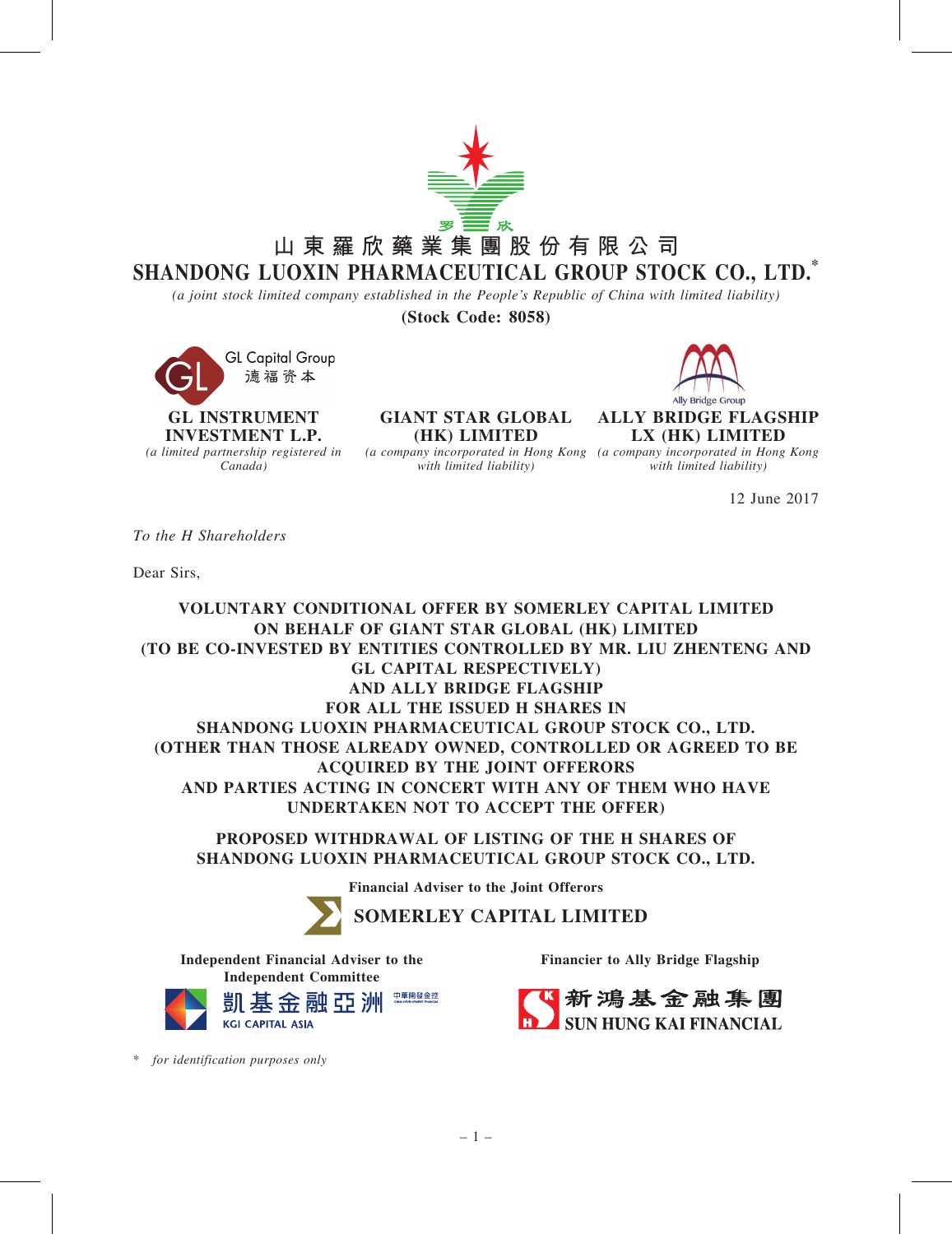

*(a joint stock limited company established in the People*'*s Republic of China with limited liability)*

(Stock Code: 8058)

**GL Capital Group** 德福资本

GL INSTRUMENT INVESTMENT L.P. *(a limited partnership registered in Canada)*

GIANT STAR GLOBAL (HK) LIMITED

*with limited liability)*



ALLY BRIDGE FLAGSHIP LX (HK) LIMITED

*(a company incorporated in Hong Kong (a company incorporated in Hong Kong with limited liability)*

12 June 2017

*To the H Shareholders*

Dear Sirs,

VOLUNTARY CONDITIONAL OFFER BY SOMERLEY CAPITAL LIMITED ON BEHALF OF GIANT STAR GLOBAL (HK) LIMITED (TO BE CO-INVESTED BY ENTITIES CONTROLLED BY MR. LIU ZHENTENG AND GL CAPITAL RESPECTIVELY) AND ALLY BRIDGE FLAGSHIP FOR ALL THE ISSUED H SHARES IN SHANDONG LUOXIN PHARMACEUTICAL GROUP STOCK CO., LTD. (OTHER THAN THOSE ALREADY OWNED, CONTROLLED OR AGREED TO BE ACQUIRED BY THE JOINT OFFERORS AND PARTIES ACTING IN CONCERT WITH ANY OF THEM WHO HAVE UNDERTAKEN NOT TO ACCEPT THE OFFER)

PROPOSED WITHDRAWAL OF LISTING OF THE H SHARES OF SHANDONG LUOXIN PHARMACEUTICAL GROUP STOCK CO., LTD.

Financial Adviser to the Joint Offerors

**SOMERLEY CAPITAL LIMITED**

Independent Financial Adviser to the Independent Committee



Financier to Ally Bridge Flagship



\* *for identification purposes only*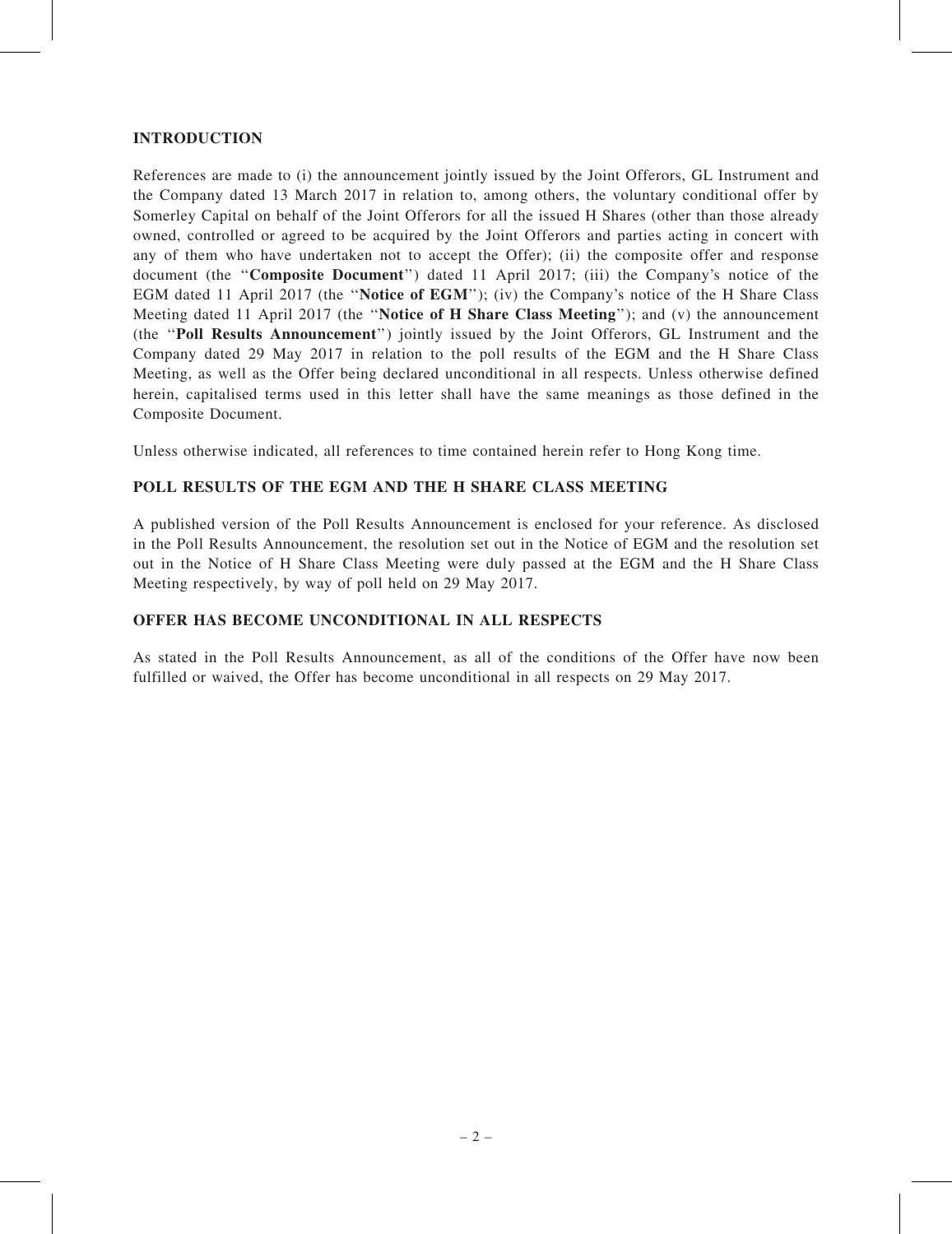## INTRODUCTION

References are made to (i) the announcement jointly issued by the Joint Offerors, GL Instrument and the Company dated 13 March 2017 in relation to, among others, the voluntary conditional offer by Somerley Capital on behalf of the Joint Offerors for all the issued H Shares (other than those already owned, controlled or agreed to be acquired by the Joint Offerors and parties acting in concert with any of them who have undertaken not to accept the Offer); (ii) the composite offer and response document (the "Composite Document") dated 11 April 2017; (iii) the Company's notice of the EGM dated 11 April 2017 (the ''Notice of EGM''); (iv) the Company's notice of the H Share Class Meeting dated 11 April 2017 (the "Notice of H Share Class Meeting"); and (v) the announcement (the ''Poll Results Announcement'') jointly issued by the Joint Offerors, GL Instrument and the Company dated 29 May 2017 in relation to the poll results of the EGM and the H Share Class Meeting, as well as the Offer being declared unconditional in all respects. Unless otherwise defined herein, capitalised terms used in this letter shall have the same meanings as those defined in the Composite Document.

Unless otherwise indicated, all references to time contained herein refer to Hong Kong time.

## POLL RESULTS OF THE EGM AND THE H SHARE CLASS MEETING

A published version of the Poll Results Announcement is enclosed for your reference. As disclosed in the Poll Results Announcement, the resolution set out in the Notice of EGM and the resolution set out in the Notice of H Share Class Meeting were duly passed at the EGM and the H Share Class Meeting respectively, by way of poll held on 29 May 2017.

### OFFER HAS BECOME UNCONDITIONAL IN ALL RESPECTS

As stated in the Poll Results Announcement, as all of the conditions of the Offer have now been fulfilled or waived, the Offer has become unconditional in all respects on 29 May 2017.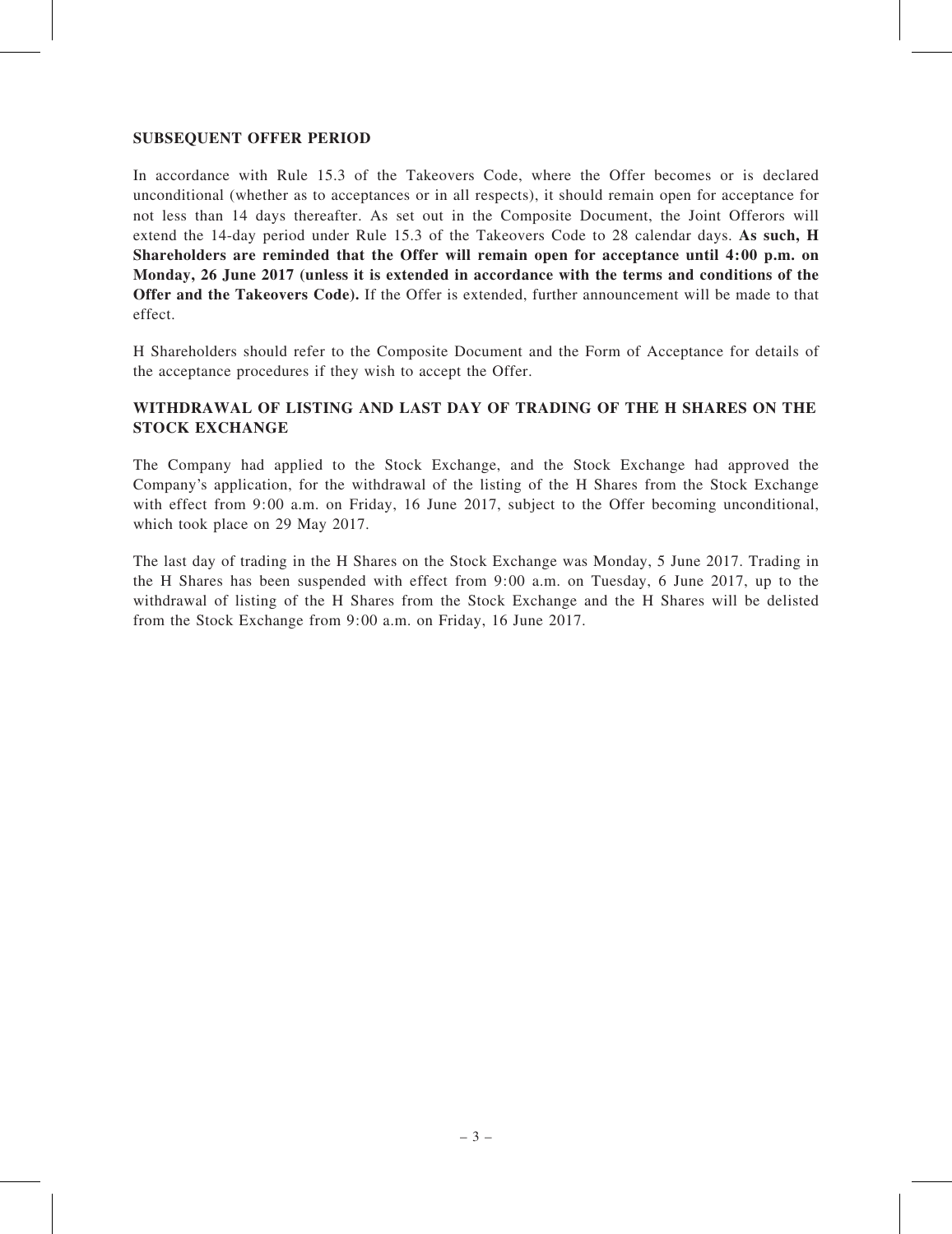### SUBSEQUENT OFFER PERIOD

In accordance with Rule 15.3 of the Takeovers Code, where the Offer becomes or is declared unconditional (whether as to acceptances or in all respects), it should remain open for acceptance for not less than 14 days thereafter. As set out in the Composite Document, the Joint Offerors will extend the 14-day period under Rule 15.3 of the Takeovers Code to 28 calendar days. As such, H Shareholders are reminded that the Offer will remain open for acceptance until 4:00 p.m. on Monday, 26 June 2017 (unless it is extended in accordance with the terms and conditions of the Offer and the Takeovers Code). If the Offer is extended, further announcement will be made to that effect.

H Shareholders should refer to the Composite Document and the Form of Acceptance for details of the acceptance procedures if they wish to accept the Offer.

# WITHDRAWAL OF LISTING AND LAST DAY OF TRADING OF THE H SHARES ON THE STOCK EXCHANGE

The Company had applied to the Stock Exchange, and the Stock Exchange had approved the Company's application, for the withdrawal of the listing of the H Shares from the Stock Exchange with effect from 9:00 a.m. on Friday, 16 June 2017, subject to the Offer becoming unconditional, which took place on 29 May 2017.

The last day of trading in the H Shares on the Stock Exchange was Monday, 5 June 2017. Trading in the H Shares has been suspended with effect from 9:00 a.m. on Tuesday, 6 June 2017, up to the withdrawal of listing of the H Shares from the Stock Exchange and the H Shares will be delisted from the Stock Exchange from 9:00 a.m. on Friday, 16 June 2017.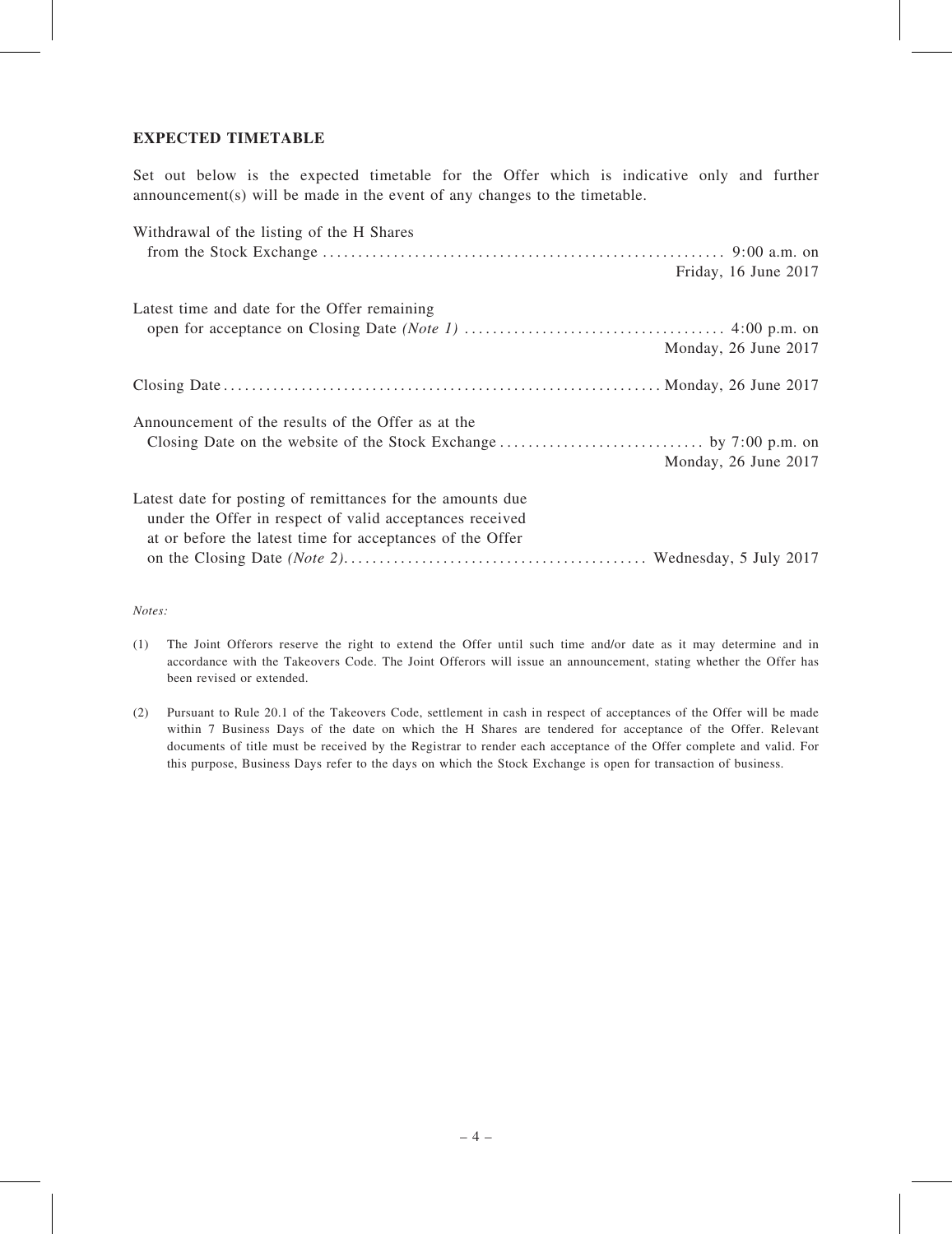### EXPECTED TIMETABLE

Set out below is the expected timetable for the Offer which is indicative only and further announcement(s) will be made in the event of any changes to the timetable.

| Withdrawal of the listing of the H Shares                  |                      |
|------------------------------------------------------------|----------------------|
|                                                            |                      |
|                                                            | Friday, 16 June 2017 |
| Latest time and date for the Offer remaining               |                      |
|                                                            |                      |
|                                                            | Monday, 26 June 2017 |
|                                                            |                      |
| Announcement of the results of the Offer as at the         |                      |
|                                                            |                      |
|                                                            | Monday, 26 June 2017 |
| Latest date for posting of remittances for the amounts due |                      |
| under the Offer in respect of valid acceptances received   |                      |
| at or before the latest time for acceptances of the Offer  |                      |
|                                                            |                      |

*Notes:*

- (1) The Joint Offerors reserve the right to extend the Offer until such time and/or date as it may determine and in accordance with the Takeovers Code. The Joint Offerors will issue an announcement, stating whether the Offer has been revised or extended.
- (2) Pursuant to Rule 20.1 of the Takeovers Code, settlement in cash in respect of acceptances of the Offer will be made within 7 Business Days of the date on which the H Shares are tendered for acceptance of the Offer. Relevant documents of title must be received by the Registrar to render each acceptance of the Offer complete and valid. For this purpose, Business Days refer to the days on which the Stock Exchange is open for transaction of business.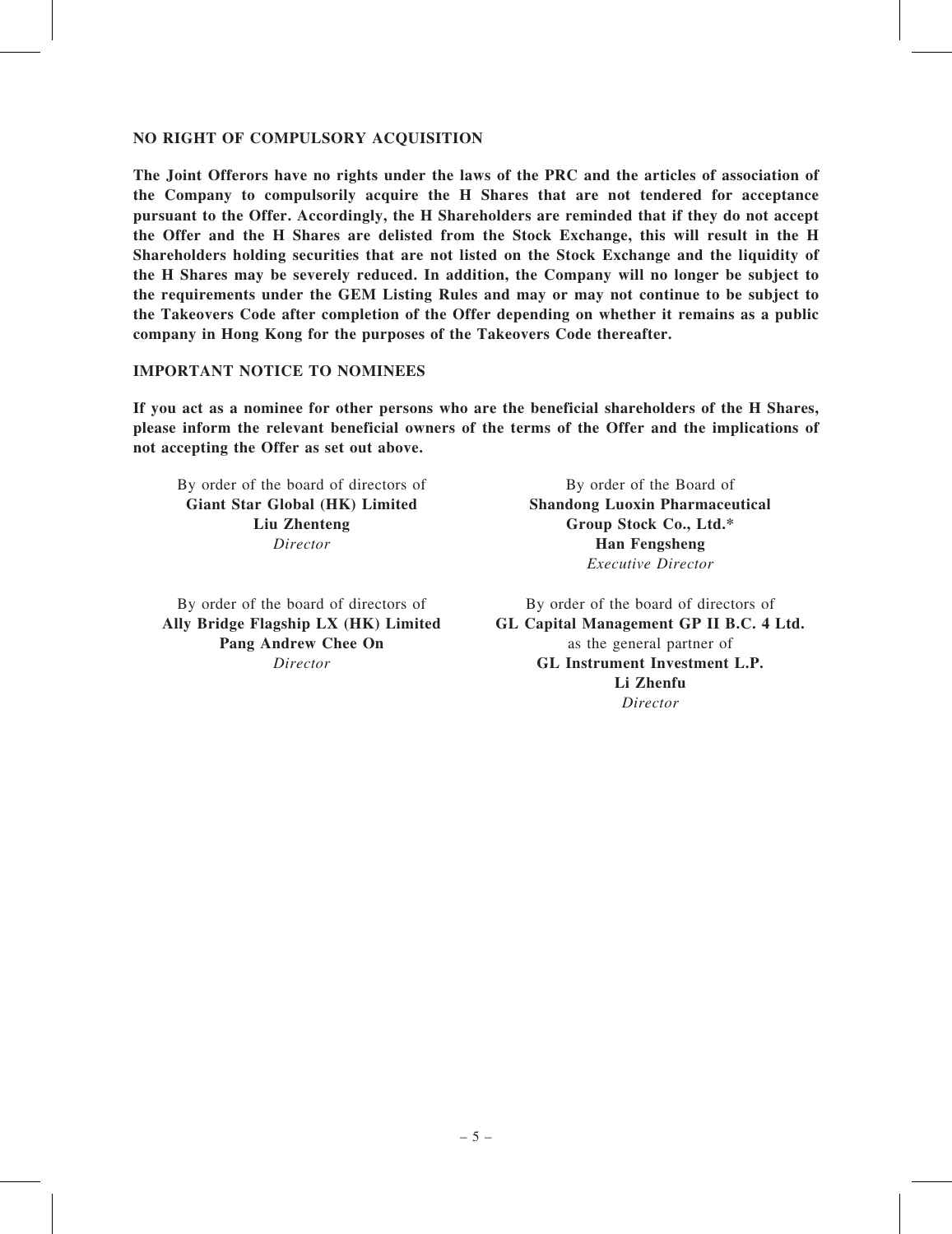### NO RIGHT OF COMPULSORY ACQUISITION

The Joint Offerors have no rights under the laws of the PRC and the articles of association of the Company to compulsorily acquire the H Shares that are not tendered for acceptance pursuant to the Offer. Accordingly, the H Shareholders are reminded that if they do not accept the Offer and the H Shares are delisted from the Stock Exchange, this will result in the H Shareholders holding securities that are not listed on the Stock Exchange and the liquidity of the H Shares may be severely reduced. In addition, the Company will no longer be subject to the requirements under the GEM Listing Rules and may or may not continue to be subject to the Takeovers Code after completion of the Offer depending on whether it remains as a public company in Hong Kong for the purposes of the Takeovers Code thereafter.

## IMPORTANT NOTICE TO NOMINEES

If you act as a nominee for other persons who are the beneficial shareholders of the H Shares, please inform the relevant beneficial owners of the terms of the Offer and the implications of not accepting the Offer as set out above.

By order of the board of directors of Giant Star Global (HK) Limited Liu Zhenteng *Director*

By order of the board of directors of Ally Bridge Flagship LX (HK) Limited Pang Andrew Chee On *Director*

By order of the Board of Shandong Luoxin Pharmaceutical Group Stock Co., Ltd.\* Han Fengsheng *Executive Director*

By order of the board of directors of GL Capital Management GP II B.C. 4 Ltd. as the general partner of GL Instrument Investment L.P. Li Zhenfu *Director*